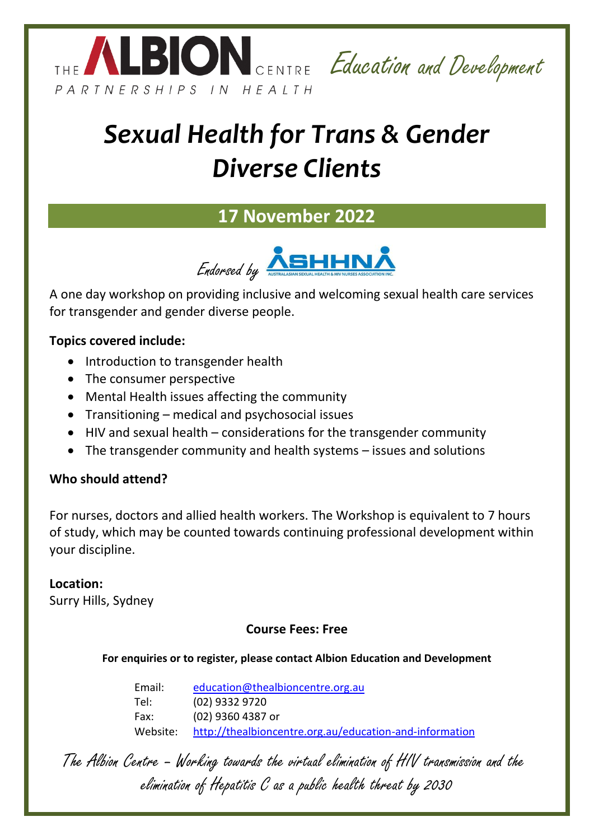



# *Sexual Health for Trans & Gender Diverse Clients*

# **17 November 2022**



A one day workshop on providing inclusive and welcoming sexual health care services for transgender and gender diverse people.

## **Topics covered include:**

- Introduction to transgender health
- The consumer perspective
- Mental Health issues affecting the community
- Transitioning medical and psychosocial issues
- HIV and sexual health considerations for the transgender community
- The transgender community and health systems issues and solutions

## **Who should attend?**

For nurses, doctors and allied health workers. The Workshop is equivalent to 7 hours of study, which may be counted towards continuing professional development within your discipline.

## **Location:**

Surry Hills, Sydney

# **Course Fees: Free**

#### **For enquiries or to register, please contact Albion Education and Development**

Email: [education@thealbioncentre.org.au](mailto:education@thealbioncentre.org.au)  Tel: (02) 9332 9720 Fax: (02) 9360 4387 or Website: <http://thealbioncentre.org.au/education-and-information>

The Albion Centre – Working towards the virtual elimination of HIV transmission and the elimination of Hepatitis C as a public health threat by 2030